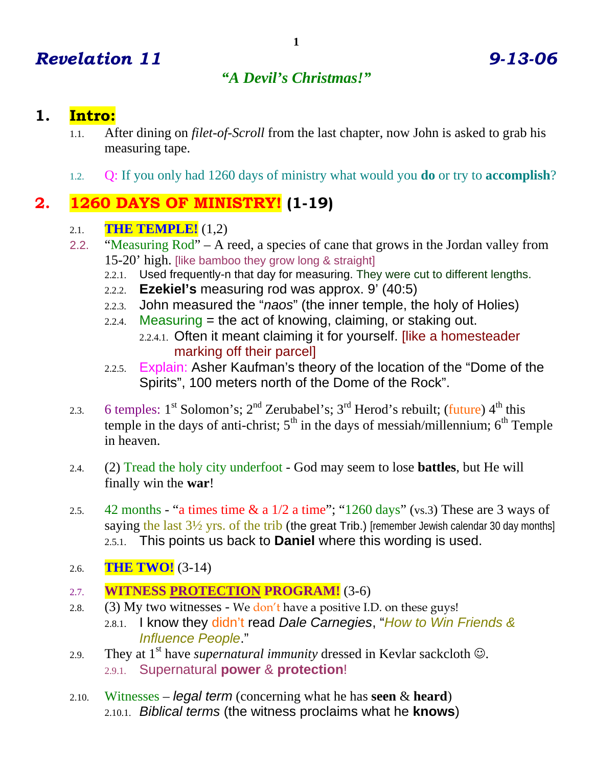# *Revelation 11 9-13-06*

## *"A Devil's Christmas!"*

### **1. Intro:**

- 1.1. After dining on *filet-of-Scroll* from the last chapter, now John is asked to grab his measuring tape.
- 1.2. Q: If you only had 1260 days of ministry what would you **do** or try to **accomplish**?

# **2. 1260 DAYS OF MINISTRY! (1-19)**

#### 2.1. **THE TEMPLE!** (1,2)

- 2.2. "Measuring Rod" A reed, a species of cane that grows in the Jordan valley from 15-20' high. [like bamboo they grow long & straight]
	- 2.2.1. Used frequently-n that day for measuring. They were cut to different lengths.
	- 2.2.2. **Ezekiel's** measuring rod was approx. 9' (40:5)
	- 2.2.3. John measured the "*naos*" (the inner temple, the holy of Holies)
	- 2.2.4. Measuring  $=$  the act of knowing, claiming, or staking out. 2.2.4.1. Often it meant claiming it for yourself. [like a homesteader marking off their parcel]
	- 2.2.5. Explain: Asher Kaufman's theory of the location of the "Dome of the Spirits", 100 meters north of the Dome of the Rock".
- 2.3. 6 temples:  $1^{st}$  Solomon's;  $2^{nd}$  Zerubabel's;  $3^{rd}$  Herod's rebuilt; (future)  $4^{th}$  this temple in the days of anti-christ;  $5<sup>th</sup>$  in the days of messiah/millennium;  $6<sup>th</sup>$  Temple in heaven.
- 2.4. (2) Tread the holy city underfoot God may seem to lose **battles**, but He will finally win the **war**!
- 2.5. 42 months "a times time  $\&$  a  $1/2$  a time"; "1260 days" (vs.3) These are 3 ways of saying the last  $3\frac{1}{2}$  yrs. of the trib (the great Trib.) [remember Jewish calendar 30 day months] 2.5.1. This points us back to **Daniel** where this wording is used.
- 2.6. **THE TWO!** (3-14)
- 2.7. **WITNESS PROTECTION PROGRAM!** (3-6)
- 2.8. (3) My two witnesses We don't have a positive I.D. on these guys! 2.8.1. I know they didn't read *Dale Carnegies*, "*How to Win Friends & Influence People*."
- 2.9. They at  $1<sup>st</sup>$  have *supernatural immunity* dressed in Kevlar sackcloth  $\odot$ . 2.9.1. Supernatural **power** & **protection**!
- 2.10. Witnesses *legal term* (concerning what he has **seen** & **heard**) 2.10.1. *Biblical terms* (the witness proclaims what he **knows**)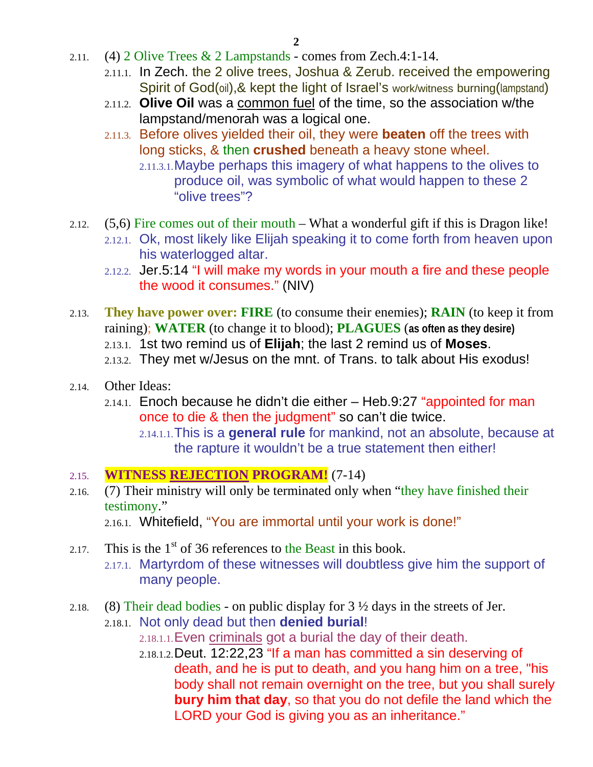- 2.11. (4) 2 Olive Trees & 2 Lampstands comes from Zech.4:1-14.
	- 2.11.1. In Zech. the 2 olive trees, Joshua & Zerub. received the empowering Spirit of God(oil), & kept the light of Israel's work/witness burning(lampstand)
	- 2.11.2. **Olive Oil** was a common fuel of the time, so the association w/the lampstand/menorah was a logical one.
	- 2.11.3. Before olives yielded their oil, they were **beaten** off the trees with long sticks, & then **crushed** beneath a heavy stone wheel.
		- 2.11.3.1.Maybe perhaps this imagery of what happens to the olives to produce oil, was symbolic of what would happen to these 2 "olive trees"?
- 2.12. (5,6) Fire comes out of their mouth What a wonderful gift if this is Dragon like!
	- 2.12.1. Ok, most likely like Elijah speaking it to come forth from heaven upon his waterlogged altar.
	- 2.12.2. Jer.5:14 "I will make my words in your mouth a fire and these people the wood it consumes." (NIV)
- 2.13. **They have power over: FIRE** (to consume their enemies); **RAIN** (to keep it from raining); **WATER** (to change it to blood); **PLAGUES** (**as often as they desire)**
	- 2.13.1. 1st two remind us of **Elijah**; the last 2 remind us of **Moses**.
	- 2.13.2. They met w/Jesus on the mnt. of Trans. to talk about His exodus!
- 2.14. Other Ideas:
	- $2.14.1.$  Enoch because he didn't die either  $-$  Heb.9:27 "appointed for man once to die & then the judgment" so can't die twice.
		- 2.14.1.1.This is a **general rule** for mankind, not an absolute, because at the rapture it wouldn't be a true statement then either!

#### 2.15. **WITNESS REJECTION PROGRAM!** (7-14)

2.16. (7) Their ministry will only be terminated only when "they have finished their testimony."

2.16.1. Whitefield, "You are immortal until your work is done!"

- 2.17. This is the  $1<sup>st</sup>$  of 36 references to the Beast in this book. 2.17.1. Martyrdom of these witnesses will doubtless give him the support of many people.
- 2.18. (8) Their dead bodies on public display for  $3\frac{1}{2}$  days in the streets of Jer.
	- 2.18.1. Not only dead but then **denied burial**! 2.18.1.1.Even criminals got a burial the day of their death.
		- 2.18.1.2.Deut. 12:22,23 "If a man has committed a sin deserving of death, and he is put to death, and you hang him on a tree, "his body shall not remain overnight on the tree, but you shall surely **bury him that day**, so that you do not defile the land which the LORD your God is giving you as an inheritance."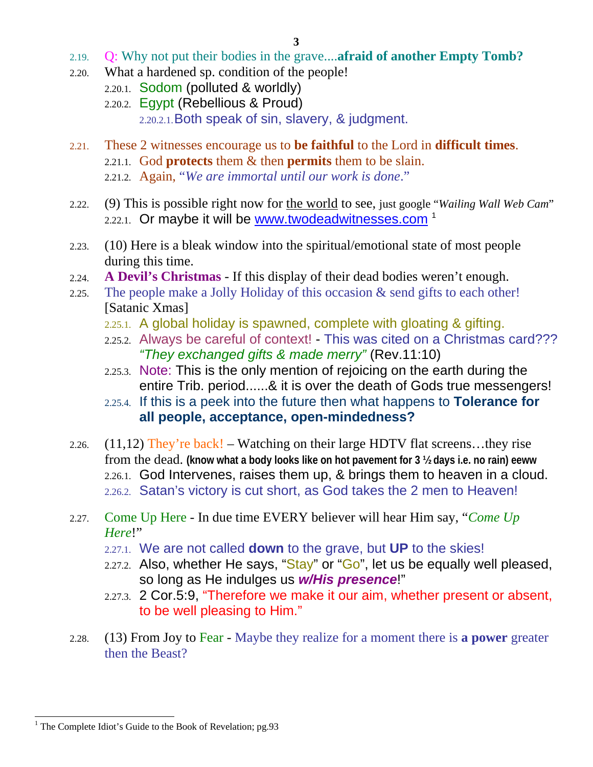- 2.19. Q: Why not put their bodies in the grave....**afraid of another Empty Tomb?**
- 2.20. What a hardened sp. condition of the people!
	- 2.20.1. Sodom (polluted & worldly)
	- 2.20.2. Egypt (Rebellious & Proud)

2.20.2.1.Both speak of sin, slavery, & judgment.

- 2.21. These 2 witnesses encourage us to **be faithful** to the Lord in **difficult times**.
	- 2.21.1. God **protects** them & then **permits** them to be slain.
	- 2.21.2. Again, "*We are immortal until our work is done*."
- 2.22. (9) This is possible right now for the world to see, just google "*Wailing Wall Web Cam*"  $2.22.1$ . Or maybe it will be www.twodeadwitnesses.com<sup>1</sup>
- 2.23. (10) Here is a bleak window into the spiritual/emotional state of most people during this time.
- 2.24. **A Devil's Christmas** If this display of their dead bodies weren't enough.
- 2.25. The people make a Jolly Holiday of this occasion & send gifts to each other! [Satanic Xmas]
	- 2.25.1. A global holiday is spawned, complete with gloating & gifting.
	- 2.25.2. Always be careful of context! This was cited on a Christmas card??? *"They exchanged gifts & made merry"* (Rev.11:10)
	- 2.25.3. Note: This is the only mention of rejoicing on the earth during the entire Trib. period......& it is over the death of Gods true messengers!
	- 2.25.4. If this is a peek into the future then what happens to **Tolerance for all people, acceptance, open-mindedness?**
- 2.26.  $(11,12)$  They're back! Watching on their large HDTV flat screens...they rise from the dead. **(know what a body looks like on hot pavement for 3 ½ days i.e. no rain) eeww** 2.26.1. God Intervenes, raises them up, & brings them to heaven in a cloud. 2.26.2. Satan's victory is cut short, as God takes the 2 men to Heaven!
- 2.27. Come Up Here In due time EVERY believer will hear Him say, "*Come Up Here*!"
	- 2.27.1. We are not called **down** to the grave, but **UP** to the skies!
	- 2.27.2. Also, whether He says, " $Stay$ " or " $Go$ ", let us be equally well pleased, so long as He indulges us *w/His presence*!"
	- 2.27.3. 2 Cor.5:9, "Therefore we make it our aim, whether present or absent, to be well pleasing to Him."
- 2.28. (13) From Joy to Fear Maybe they realize for a moment there is **a power** greater then the Beast?

 $\overline{\phantom{a}}$ 

<sup>&</sup>lt;sup>1</sup> The Complete Idiot's Guide to the Book of Revelation; pg.93